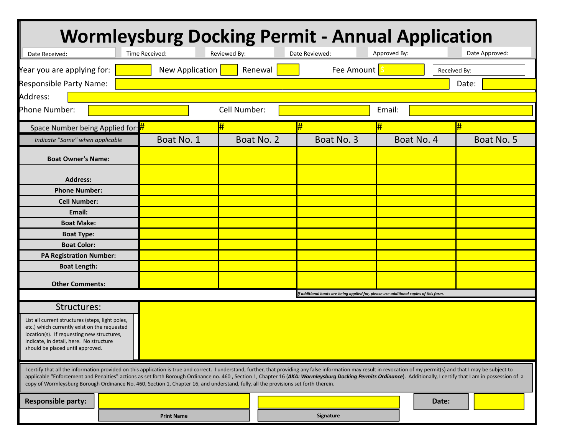| <b>Wormleysburg Docking Permit - Annual Application</b>                                                                                                                                                                                                                                                                                                                                                                                                                                                                                                                           |                                                          |              |  |                |              |                |
|-----------------------------------------------------------------------------------------------------------------------------------------------------------------------------------------------------------------------------------------------------------------------------------------------------------------------------------------------------------------------------------------------------------------------------------------------------------------------------------------------------------------------------------------------------------------------------------|----------------------------------------------------------|--------------|--|----------------|--------------|----------------|
| Date Received:                                                                                                                                                                                                                                                                                                                                                                                                                                                                                                                                                                    | Time Received:                                           | Reviewed By: |  | Date Reviewed: | Approved By: | Date Approved: |
| Year you are applying for:                                                                                                                                                                                                                                                                                                                                                                                                                                                                                                                                                        | New Application<br>Fee Amount<br>Renewal<br>Received By: |              |  |                |              |                |
| Responsible Party Name:                                                                                                                                                                                                                                                                                                                                                                                                                                                                                                                                                           |                                                          |              |  |                |              | Date:          |
| Address:                                                                                                                                                                                                                                                                                                                                                                                                                                                                                                                                                                          |                                                          |              |  |                |              |                |
| Phone Number:<br>Cell Number:<br>Email:                                                                                                                                                                                                                                                                                                                                                                                                                                                                                                                                           |                                                          |              |  |                |              |                |
| Space Number being Applied for: #                                                                                                                                                                                                                                                                                                                                                                                                                                                                                                                                                 |                                                          | #            |  |                | #            | #              |
| Indicate "Same" when applicable                                                                                                                                                                                                                                                                                                                                                                                                                                                                                                                                                   | Boat No. 1                                               | Boat No. 2   |  | Boat No. 3     | Boat No. 4   | Boat No. 5     |
| <b>Boat Owner's Name:</b>                                                                                                                                                                                                                                                                                                                                                                                                                                                                                                                                                         |                                                          |              |  |                |              |                |
| <b>Address:</b>                                                                                                                                                                                                                                                                                                                                                                                                                                                                                                                                                                   |                                                          |              |  |                |              |                |
| <b>Phone Number:</b>                                                                                                                                                                                                                                                                                                                                                                                                                                                                                                                                                              |                                                          |              |  |                |              |                |
| <b>Cell Number:</b>                                                                                                                                                                                                                                                                                                                                                                                                                                                                                                                                                               |                                                          |              |  |                |              |                |
| Email:                                                                                                                                                                                                                                                                                                                                                                                                                                                                                                                                                                            |                                                          |              |  |                |              |                |
| <b>Boat Make:</b>                                                                                                                                                                                                                                                                                                                                                                                                                                                                                                                                                                 |                                                          |              |  |                |              |                |
| <b>Boat Type:</b>                                                                                                                                                                                                                                                                                                                                                                                                                                                                                                                                                                 |                                                          |              |  |                |              |                |
| <b>Boat Color:</b>                                                                                                                                                                                                                                                                                                                                                                                                                                                                                                                                                                |                                                          |              |  |                |              |                |
| <b>PA Registration Number:</b>                                                                                                                                                                                                                                                                                                                                                                                                                                                                                                                                                    |                                                          |              |  |                |              |                |
| <b>Boat Length:</b>                                                                                                                                                                                                                                                                                                                                                                                                                                                                                                                                                               |                                                          |              |  |                |              |                |
| <b>Other Comments:</b>                                                                                                                                                                                                                                                                                                                                                                                                                                                                                                                                                            |                                                          |              |  |                |              |                |
| If additional boats are being applied for, please use additional copies of this form.                                                                                                                                                                                                                                                                                                                                                                                                                                                                                             |                                                          |              |  |                |              |                |
| Structures:                                                                                                                                                                                                                                                                                                                                                                                                                                                                                                                                                                       |                                                          |              |  |                |              |                |
| List all current structures (steps, light poles,<br>etc.) which currently exist on the requested<br>location(s). If requesting new structures,<br>indicate, in detail, here. No structure<br>should be placed until approved.                                                                                                                                                                                                                                                                                                                                                     |                                                          |              |  |                |              |                |
| I certify that all the information provided on this application is true and correct. I understand, further, that providing any false information may result in revocation of my permit(s) and that I may be subject to<br>applicable "Enforcement and Penalties" actions as set forth Borough Ordinance no. 460, Section 1, Chapter 16 (AKA: Wormleysburg Docking Permits Ordinance). Additionally, I certify that I am in possession of a<br>copy of Wormleysburg Borough Ordinance No. 460, Section 1, Chapter 16, and understand, fully, all the provisions set forth therein. |                                                          |              |  |                |              |                |
| <b>Responsible party:</b>                                                                                                                                                                                                                                                                                                                                                                                                                                                                                                                                                         |                                                          |              |  |                | Date:        |                |
|                                                                                                                                                                                                                                                                                                                                                                                                                                                                                                                                                                                   | <b>Print Name</b>                                        |              |  | Signature      |              |                |